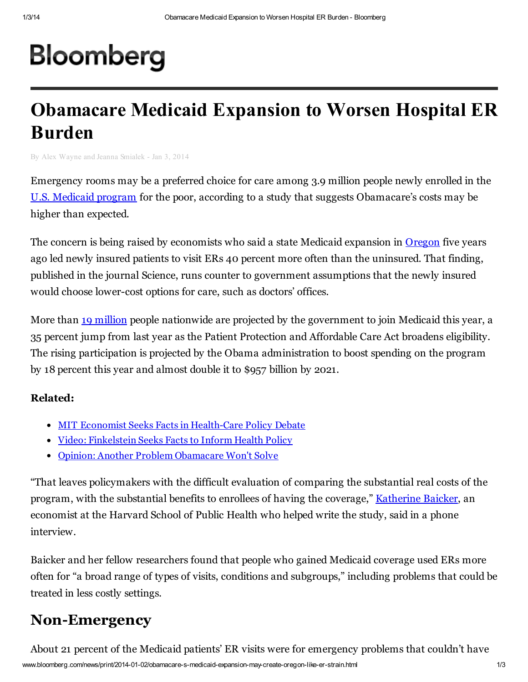# Bloomberg

## Obamacare Medicaid Expansion to Worsen Hospital ER Burden

By Alex Wayne and Jeanna Smialek - Jan 3, 2014

Emergency rooms may be a preferred choice for care among 3.9 million people newly enrolled in the U.S. [Medicaid](http://www.bloomberg.com/quote/CDCHMEEN:IND) program for the poor, according to a study that suggests Obamacare's costs may be higher than expected.

The concern is being raised by economists who said a state Medicaid expansion in [Oregon](http://www.bloomberg.com/quote/CDCHORUN:IND) five years ago led newly insured patients to visit ERs 40 percent more often than the uninsured. That finding, published in the journal Science, runs counter to government assumptions that the newly insured would choose lower-cost options for care, such as doctors' offices.

More than 19 [million](http://www.cms.gov/Research-Statistics-Data-and-Systems/Statistics-Trends-and-Reports/NationalHealthExpendData/Downloads/Proj2011PDF.pdf) people nationwide are projected by the government to join Medicaid this year, a 35 percent jump from last year as the Patient Protection and Affordable Care Act broadens eligibility. The rising participation is projected by the Obama administration to boost spending on the program by 18 percent this year and almost double it to \$957 billion by 2021.

#### Related:

- MIT Economist Seeks Facts in [Health-Care](http://www.bloomberg.com/news/2014-01-03/mit-economist-seeks-facts-in-health-care-policy-debate.html) Policy Debate
- Video: [Finkelstein](http://www.bloomberg.com/video/finkelstein-seeks-facts-to-inform-health-policy-XgjpAndGQbm7tgJ_B6koaQ.html) Seeks Facts to Inform Health Policy
- Opinion: Another Problem [Obamacare](http://www.bloomberg.com/news/2014-01-02/another-problem-obamacare-won-t-solve-health-costs.html) Won't Solve

"That leaves policymakers with the difficult evaluation of comparing the substantial real costs of the program, with the substantial benefits to enrollees of having the coverage," [Katherine](http://search.bloomberg.com/search?q=Katherine%20Baicker&site=wnews&client=wnews&proxystylesheet=wnews&output=xml_no_dtd&ie=UTF-8&oe=UTF-8&filter=p&getfields=wnnis&sort=date:D:S:d1&partialfields=-wnnis:NOAVSYND&lr=-lang_ja) Baicker, an economist at the Harvard School of Public Health who helped write the study, said in a phone interview.

Baicker and her fellow researchers found that people who gained Medicaid coverage used ERs more often for "a broad range of types of visits, conditions and subgroups," including problems that could be treated in less costly settings.

#### Non-Emergency

www.bloomberg.com/news/print/2014-01-02/obamacare-s-medicaid-expansion-may-create-oregon-like-er-strain.html 1/3 About 21 percent of the Medicaid patients' ER visits were for emergency problems that couldn't have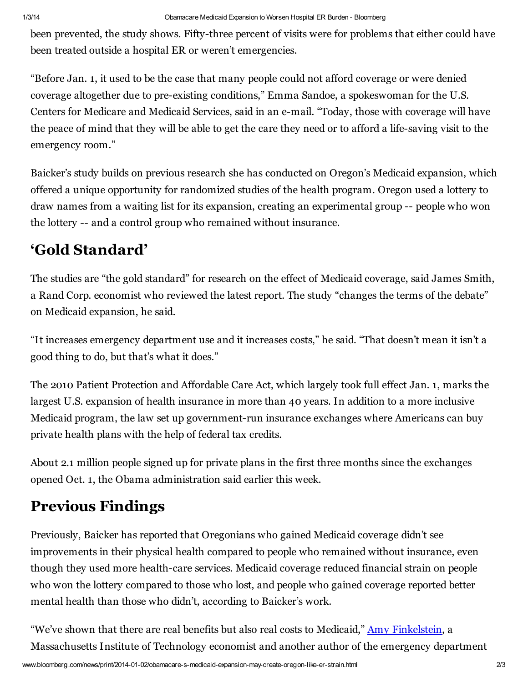been prevented, the study shows. Fifty-three percent of visits were for problems that either could have been treated outside a hospital ER or weren't emergencies.

"Before Jan. 1, it used to be the case that many people could not afford coverage or were denied coverage altogether due to pre-existing conditions," Emma Sandoe, a spokeswoman for the U.S. Centers for Medicare and Medicaid Services, said in an e-mail. "Today, those with coverage will have the peace of mind that they will be able to get the care they need or to afford a life-saving visit to the emergency room."

Baicker's study builds on previous research she has conducted on Oregon's Medicaid expansion, which offered a unique opportunity for randomized studies of the health program. Oregon used a lottery to draw names from a waiting list for its expansion, creating an experimental group -- people who won the lottery -- and a control group who remained without insurance.

#### 'Gold Standard'

The studies are "the gold standard" for research on the effect of Medicaid coverage, said James Smith, a Rand Corp. economist who reviewed the latest report. The study "changes the terms of the debate" on Medicaid expansion, he said.

"It increases emergency department use and it increases costs," he said. "That doesn't mean it isn't a good thing to do, but that's what it does."

The 2010 Patient Protection and Affordable Care Act, which largely took full effect Jan. 1, marks the largest U.S. expansion of health insurance in more than 40 years. In addition to a more inclusive Medicaid program, the law set up government-run insurance exchanges where Americans can buy private health plans with the help of federal tax credits.

About 2.1 million people signed up for private plans in the first three months since the exchanges opened Oct. 1, the Obama administration said earlier this week.

### Previous Findings

Previously, Baicker has reported that Oregonians who gained Medicaid coverage didn't see improvements in their physical health compared to people who remained without insurance, even though they used more health-care services. Medicaid coverage reduced financial strain on people who won the lottery compared to those who lost, and people who gained coverage reported better mental health than those who didn't, according to Baicker's work.

"We've shown that there are real benefits but also real costs to Medicaid," Amy [Finkelstein,](http://search.bloomberg.com/search?q=Amy%20Finkelstein&site=wnews&client=wnews&proxystylesheet=wnews&output=xml_no_dtd&ie=UTF-8&oe=UTF-8&filter=p&getfields=wnnis&sort=date:D:S:d1&partialfields=-wnnis:NOAVSYND&lr=-lang_ja) a Massachusetts Institute of Technology economist and another author of the emergency department